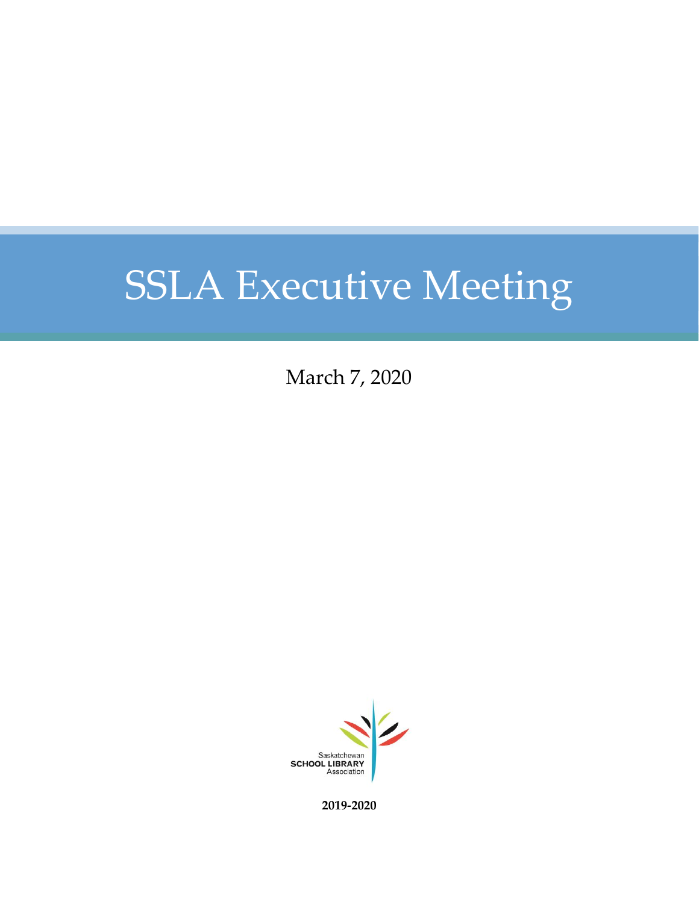March 7, 2020



**2019-2020**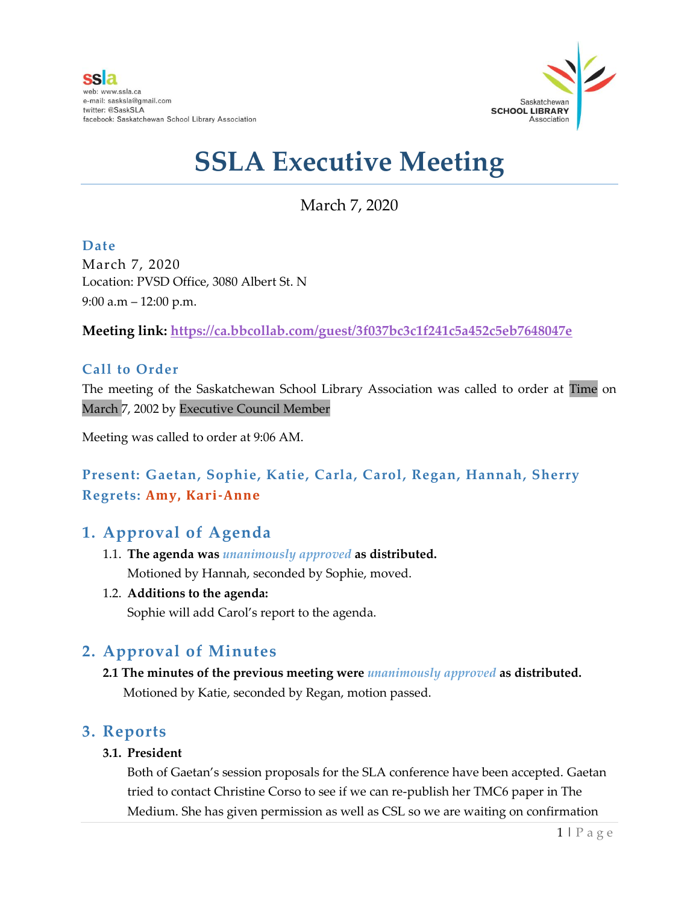

March 7, 2020

**Date** March 7, 2020 Location: PVSD Office, 3080 Albert St. N 9:00 a.m – 12:00 p.m.

**Meeting link:<https://ca.bbcollab.com/guest/3f037bc3c1f241c5a452c5eb7648047e>**

#### **Call to Order**

The meeting of the Saskatchewan School Library Association was called to order at Time on March 7, 2002 by Executive Council Member

Meeting was called to order at 9:06 AM.

### **Present: Gaetan, Sophie, Katie, Carla, Carol, Regan, Hannah, Sherry Regrets: Amy, Kari-Anne**

### **1. Approval of Agenda**

- 1.1. **The agenda was** *unanimously approved* **as distributed.** Motioned by Hannah, seconded by Sophie, moved.
- 1.2. **Additions to the agenda:**

Sophie will add Carol's report to the agenda.

### **2. Approval of Minutes**

**2.1 The minutes of the previous meeting were** *unanimously approved* **as distributed.** Motioned by Katie, seconded by Regan, motion passed.

#### **3. Reports**

#### **3.1. President**

Both of Gaetan's session proposals for the SLA conference have been accepted. Gaetan tried to contact Christine Corso to see if we can re-publish her TMC6 paper in The Medium. She has given permission as well as CSL so we are waiting on confirmation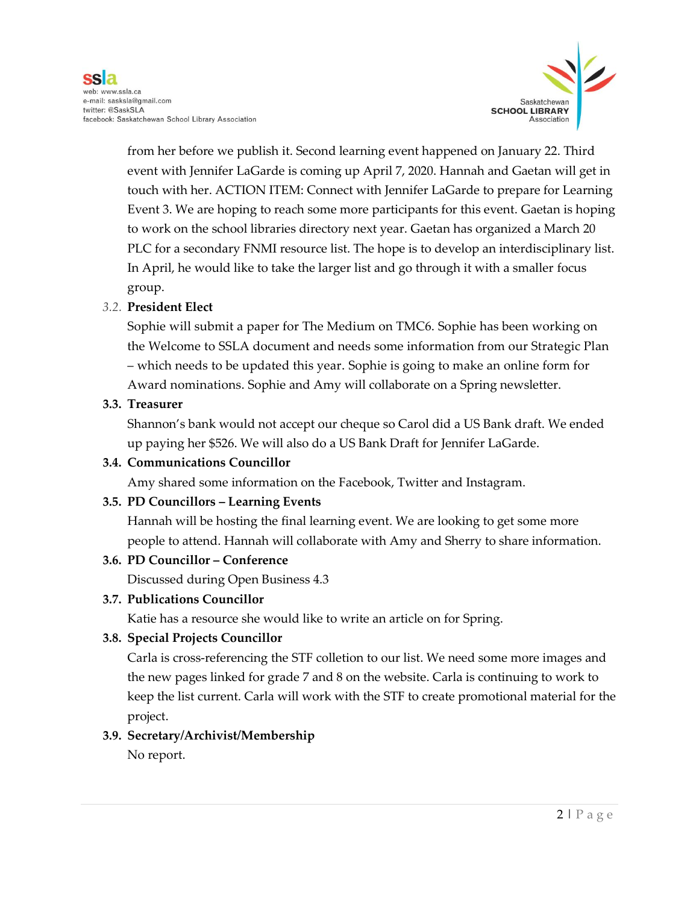

from her before we publish it. Second learning event happened on January 22. Third event with Jennifer LaGarde is coming up April 7, 2020. Hannah and Gaetan will get in touch with her. ACTION ITEM: Connect with Jennifer LaGarde to prepare for Learning Event 3. We are hoping to reach some more participants for this event. Gaetan is hoping to work on the school libraries directory next year. Gaetan has organized a March 20 PLC for a secondary FNMI resource list. The hope is to develop an interdisciplinary list. In April, he would like to take the larger list and go through it with a smaller focus group.

#### *3.2.* **President Elect**

Sophie will submit a paper for The Medium on TMC6. Sophie has been working on the Welcome to SSLA document and needs some information from our Strategic Plan – which needs to be updated this year. Sophie is going to make an online form for Award nominations. Sophie and Amy will collaborate on a Spring newsletter.

#### **3.3. Treasurer**

Shannon's bank would not accept our cheque so Carol did a US Bank draft. We ended up paying her \$526. We will also do a US Bank Draft for Jennifer LaGarde.

#### **3.4. Communications Councillor**

Amy shared some information on the Facebook, Twitter and Instagram.

#### **3.5. PD Councillors – Learning Events**

Hannah will be hosting the final learning event. We are looking to get some more people to attend. Hannah will collaborate with Amy and Sherry to share information.

#### **3.6. PD Councillor – Conference**

Discussed during Open Business 4.3

#### **3.7. Publications Councillor**

Katie has a resource she would like to write an article on for Spring.

#### **3.8. Special Projects Councillor**

Carla is cross-referencing the STF colletion to our list. We need some more images and the new pages linked for grade 7 and 8 on the website. Carla is continuing to work to keep the list current. Carla will work with the STF to create promotional material for the project.

#### **3.9. Secretary/Archivist/Membership**

No report.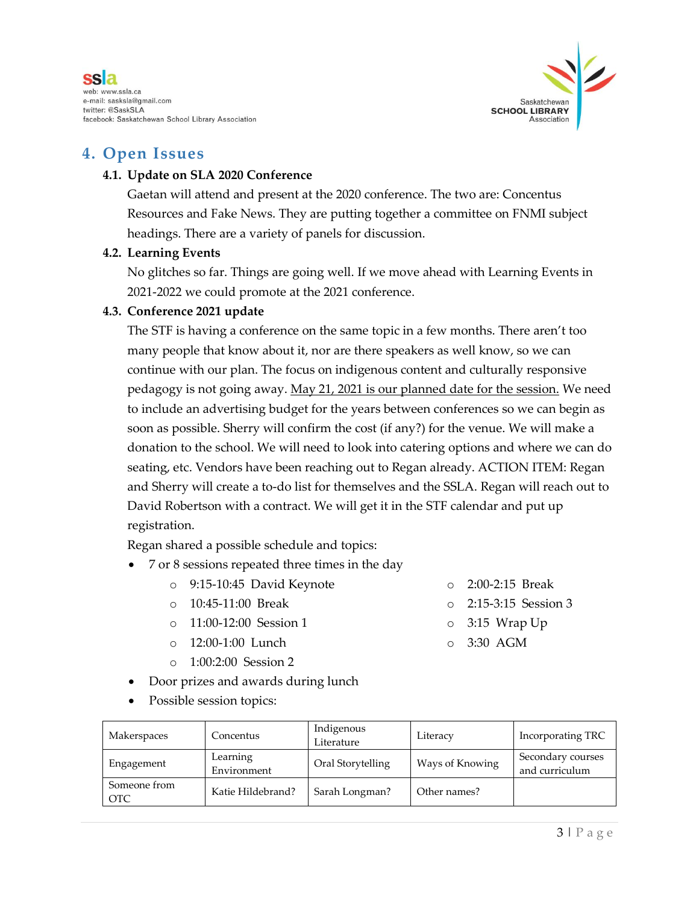



#### **4. Open Issues**

#### **4.1. Update on SLA 2020 Conference**

Gaetan will attend and present at the 2020 conference. The two are: Concentus Resources and Fake News. They are putting together a committee on FNMI subject headings. There are a variety of panels for discussion.

#### **4.2. Learning Events**

No glitches so far. Things are going well. If we move ahead with Learning Events in 2021-2022 we could promote at the 2021 conference.

#### **4.3. Conference 2021 update**

The STF is having a conference on the same topic in a few months. There aren't too many people that know about it, nor are there speakers as well know, so we can continue with our plan. The focus on indigenous content and culturally responsive pedagogy is not going away. May 21, 2021 is our planned date for the session. We need to include an advertising budget for the years between conferences so we can begin as soon as possible. Sherry will confirm the cost (if any?) for the venue. We will make a donation to the school. We will need to look into catering options and where we can do seating, etc. Vendors have been reaching out to Regan already. ACTION ITEM: Regan and Sherry will create a to-do list for themselves and the SSLA. Regan will reach out to David Robertson with a contract. We will get it in the STF calendar and put up registration.

Regan shared a possible schedule and topics:

- 7 or 8 sessions repeated three times in the day
	- o 9:15-10:45 David Keynote
	- o 10:45-11:00 Break
	- o 11:00-12:00 Session 1
	- o 12:00-1:00 Lunch
	- o 1:00:2:00 Session 2
- Door prizes and awards during lunch
- Possible session topics:

| Makerspaces                | Concentus               | Indigenous<br>Literature | Literacy        | Incorporating TRC                   |
|----------------------------|-------------------------|--------------------------|-----------------|-------------------------------------|
| Engagement                 | Learning<br>Environment | Oral Storytelling        | Ways of Knowing | Secondary courses<br>and curriculum |
| Someone from<br><b>OTC</b> | Katie Hildebrand?       | Sarah Longman?           | Other names?    |                                     |

- o 2:00-2:15 Break
- o 2:15-3:15 Session 3
- o 3:15 Wrap Up
- o 3:30 AGM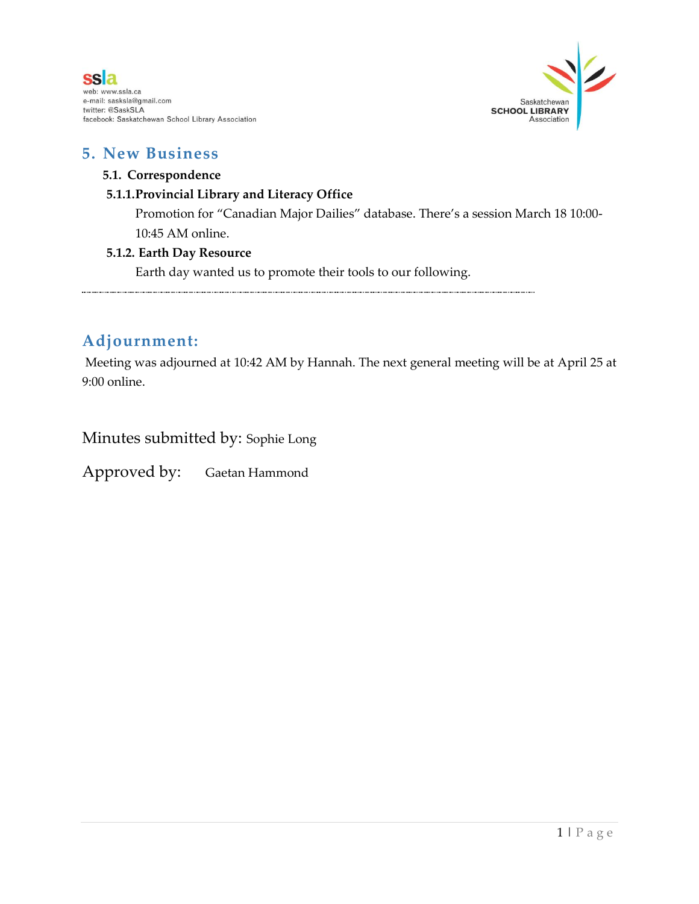



#### **5. New Business**

#### **5.1. Correspondence**

#### **5.1.1.Provincial Library and Literacy Office**

Promotion for "Canadian Major Dailies" database. There's a session March 18 10:00- 10:45 AM online.

#### **5.1.2. Earth Day Resource**

Earth day wanted us to promote their tools to our following.

### **Adjournment:**

Meeting was adjourned at 10:42 AM by Hannah. The next general meeting will be at April 25 at 9:00 online.

Minutes submitted by: Sophie Long

Approved by: Gaetan Hammond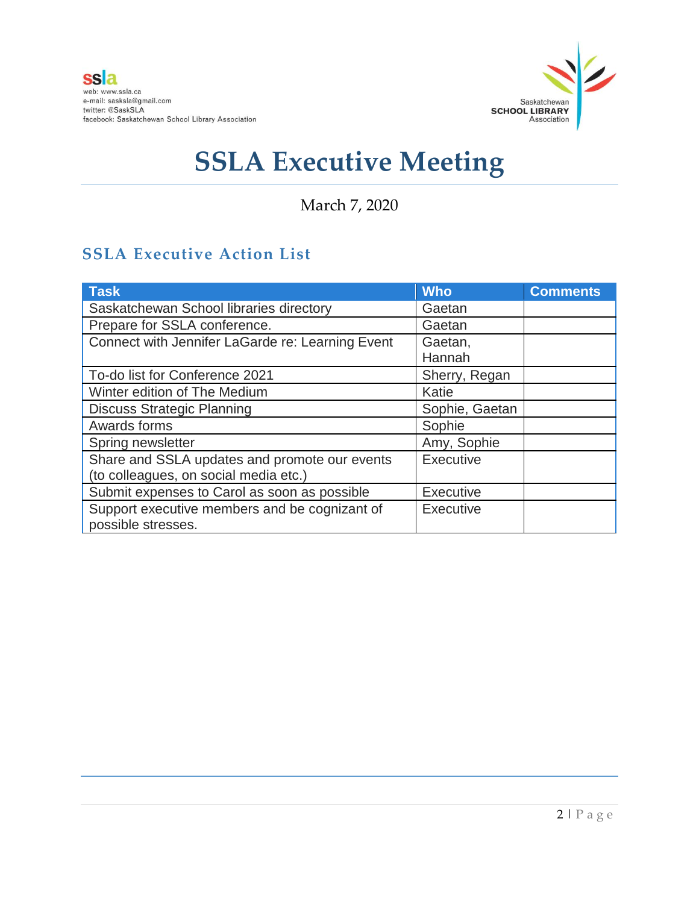

March 7, 2020

## **SSLA Executive Action List**

| <b>Task</b>                                      | <b>Who</b>       | <b>Comments</b> |
|--------------------------------------------------|------------------|-----------------|
| Saskatchewan School libraries directory          | Gaetan           |                 |
| Prepare for SSLA conference.                     | Gaetan           |                 |
| Connect with Jennifer LaGarde re: Learning Event | Gaetan,          |                 |
|                                                  | Hannah           |                 |
| To-do list for Conference 2021                   | Sherry, Regan    |                 |
| Winter edition of The Medium                     | Katie            |                 |
| <b>Discuss Strategic Planning</b>                | Sophie, Gaetan   |                 |
| Awards forms                                     | Sophie           |                 |
| Spring newsletter                                | Amy, Sophie      |                 |
| Share and SSLA updates and promote our events    | <b>Executive</b> |                 |
| (to colleagues, on social media etc.)            |                  |                 |
| Submit expenses to Carol as soon as possible     | <b>Executive</b> |                 |
| Support executive members and be cognizant of    | <b>Executive</b> |                 |
| possible stresses.                               |                  |                 |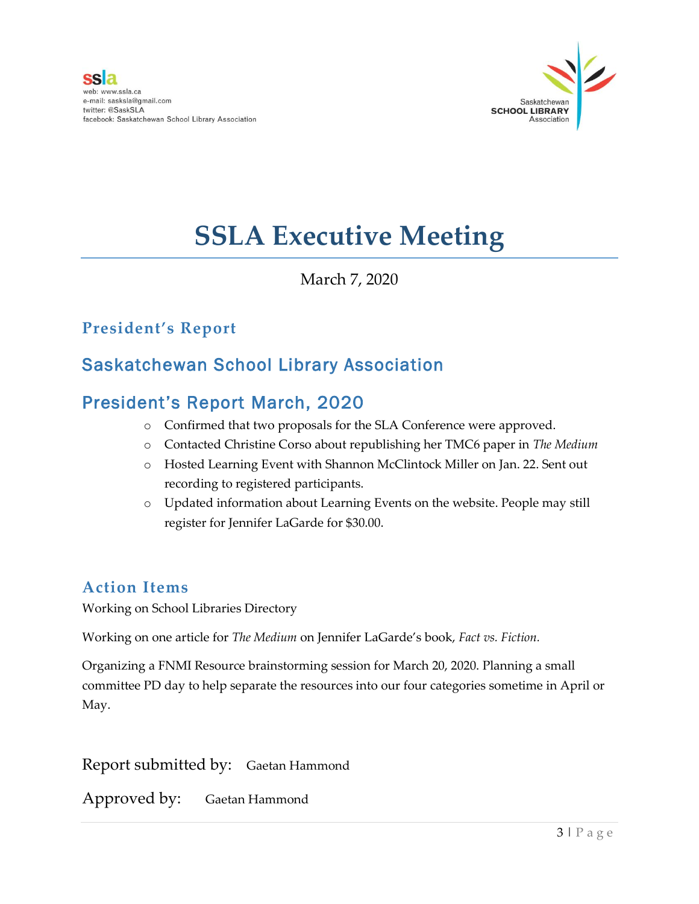

March 7, 2020

## **President's Report**

## Saskatchewan School Library Association

## President's Report March, 2020

- o Confirmed that two proposals for the SLA Conference were approved.
- o Contacted Christine Corso about republishing her TMC6 paper in *The Medium*
- o Hosted Learning Event with Shannon McClintock Miller on Jan. 22. Sent out recording to registered participants.
- o Updated information about Learning Events on the website. People may still register for Jennifer LaGarde for \$30.00.

### **Action Items**

Working on School Libraries Directory

Working on one article for *The Medium* on Jennifer LaGarde's book, *Fact vs. Fiction.*

Organizing a FNMI Resource brainstorming session for March 20, 2020. Planning a small committee PD day to help separate the resources into our four categories sometime in April or May.

Report submitted by: Gaetan Hammond

Approved by: Gaetan Hammond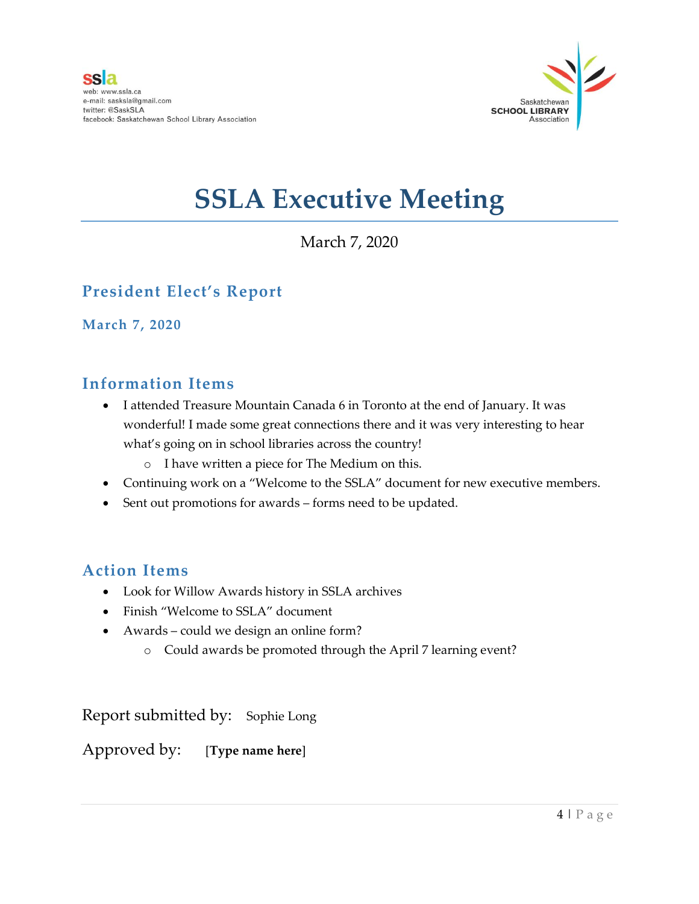

## March 7, 2020

## **President Elect's Report**

**March 7, 2020**

### **Information Items**

- I attended Treasure Mountain Canada 6 in Toronto at the end of January. It was wonderful! I made some great connections there and it was very interesting to hear what's going on in school libraries across the country!
	- o I have written a piece for The Medium on this.
- Continuing work on a "Welcome to the SSLA" document for new executive members.
- Sent out promotions for awards forms need to be updated.

## **Action Items**

- Look for Willow Awards history in SSLA archives
- Finish "Welcome to SSLA" document
- Awards could we design an online form?
	- o Could awards be promoted through the April 7 learning event?

Report submitted by: Sophie Long

Approved by: [**Type name here**]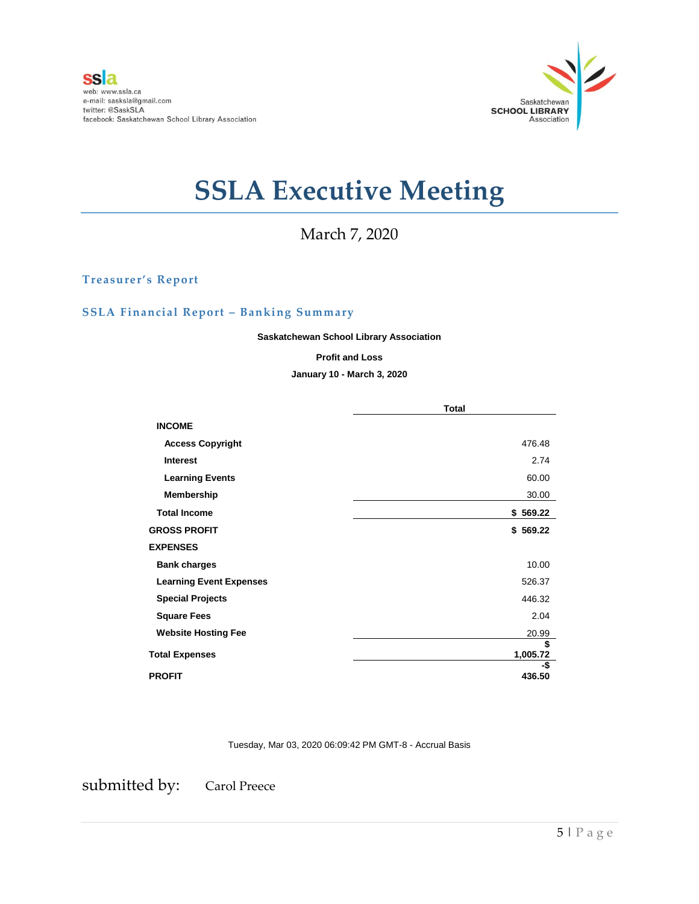

March 7, 2020

**Treasurer's Report**

#### **SSLA Financial Report – Banking Summary**

**Saskatchewan School Library Association**

#### **Profit and Loss**

#### **January 10 - March 3, 2020**

|                                | <b>Total</b>   |  |
|--------------------------------|----------------|--|
| <b>INCOME</b>                  |                |  |
| <b>Access Copyright</b>        | 476.48         |  |
| <b>Interest</b>                | 2.74           |  |
| <b>Learning Events</b>         | 60.00          |  |
| Membership                     | 30.00          |  |
| <b>Total Income</b>            | \$569.22       |  |
| <b>GROSS PROFIT</b>            | \$569.22       |  |
| <b>EXPENSES</b>                |                |  |
| <b>Bank charges</b>            | 10.00          |  |
| <b>Learning Event Expenses</b> | 526.37         |  |
| <b>Special Projects</b>        | 446.32         |  |
| <b>Square Fees</b>             | 2.04           |  |
| <b>Website Hosting Fee</b>     | 20.99          |  |
| <b>Total Expenses</b>          | \$<br>1,005.72 |  |
| <b>PROFIT</b>                  | -\$<br>436.50  |  |

Tuesday, Mar 03, 2020 06:09:42 PM GMT-8 - Accrual Basis

submitted by: Carol Preece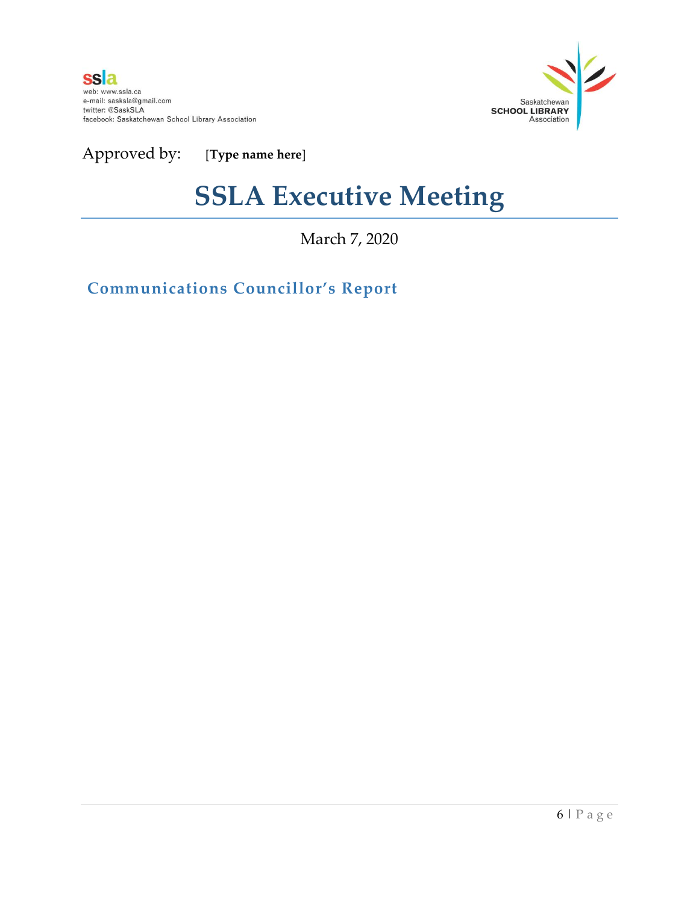

Approved by: [**Type name here**]

## **SSLA Executive Meeting**

March 7, 2020

**Communications Councillor's Report**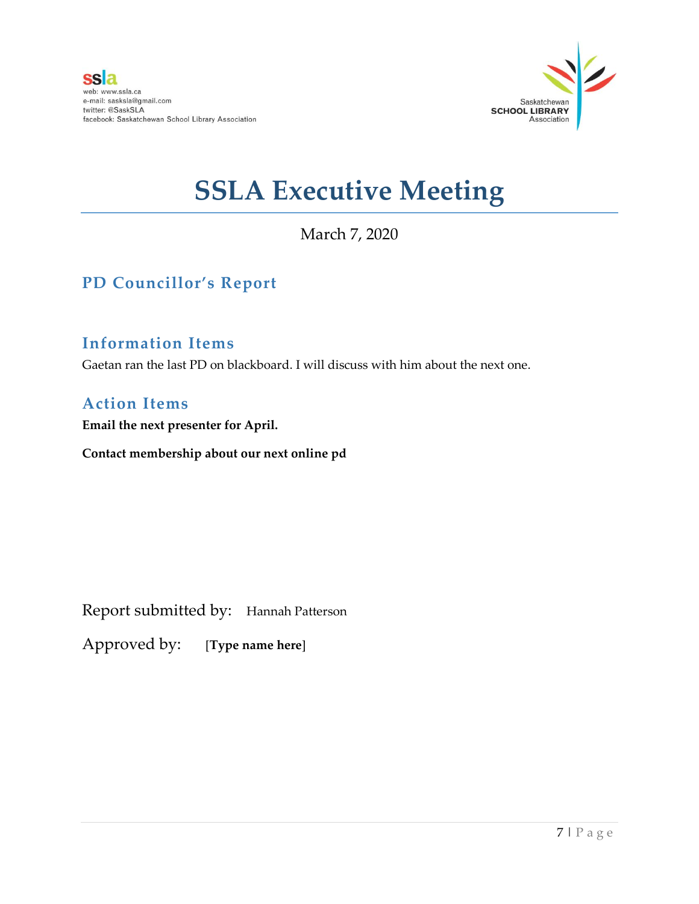

March 7, 2020

## **PD Councillor's Report**

#### **Information Items**

Gaetan ran the last PD on blackboard. I will discuss with him about the next one.

### **Action Items**

**Email the next presenter for April.** 

**Contact membership about our next online pd** 

Report submitted by: Hannah Patterson

Approved by: [**Type name here**]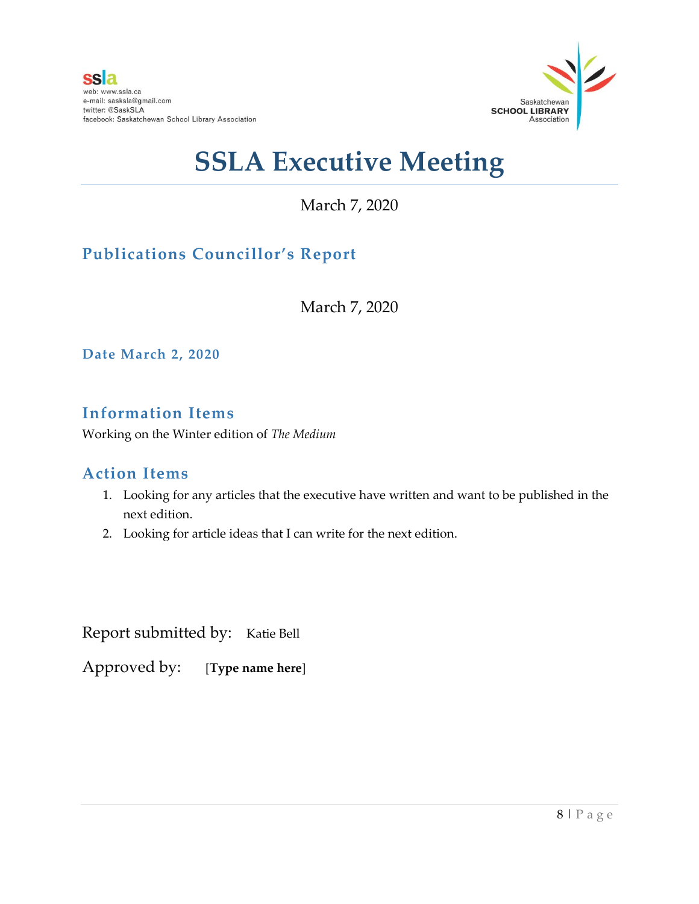

March 7, 2020

## **Publications Councillor's Report**

March 7, 2020

**Date March 2, 2020**

## **Information Items**

Working on the Winter edition of *The Medium*

### **Action Items**

- 1. Looking for any articles that the executive have written and want to be published in the next edition.
- 2. Looking for article ideas that I can write for the next edition.

Report submitted by: Katie Bell

Approved by: [**Type name here**]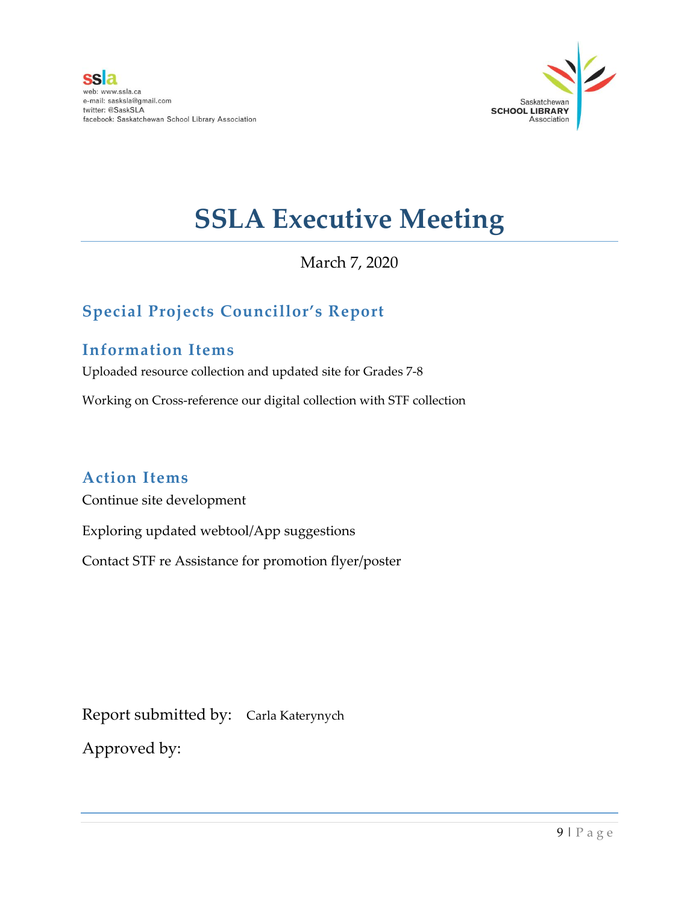

### March 7, 2020

## **Special Projects Councillor's Report**

### **Information Items**

Uploaded resource collection and updated site for Grades 7-8

Working on Cross-reference our digital collection with STF collection

### **Action Items**

Continue site development

Exploring updated webtool/App suggestions

Contact STF re Assistance for promotion flyer/poster

Report submitted by: Carla Katerynych

Approved by: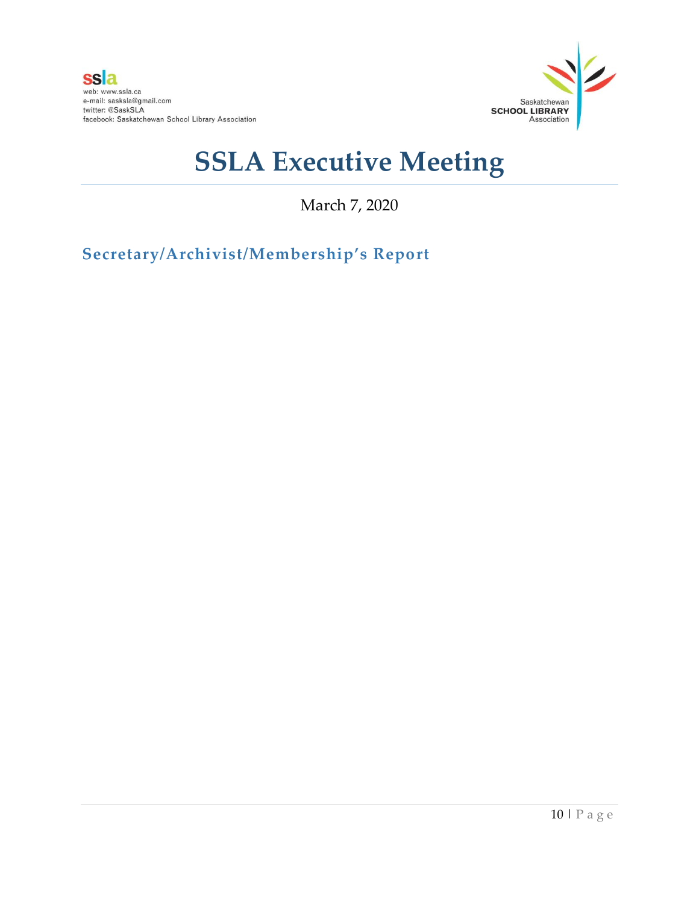

March 7, 2020

**Secretary/Archivist/Membership's Report**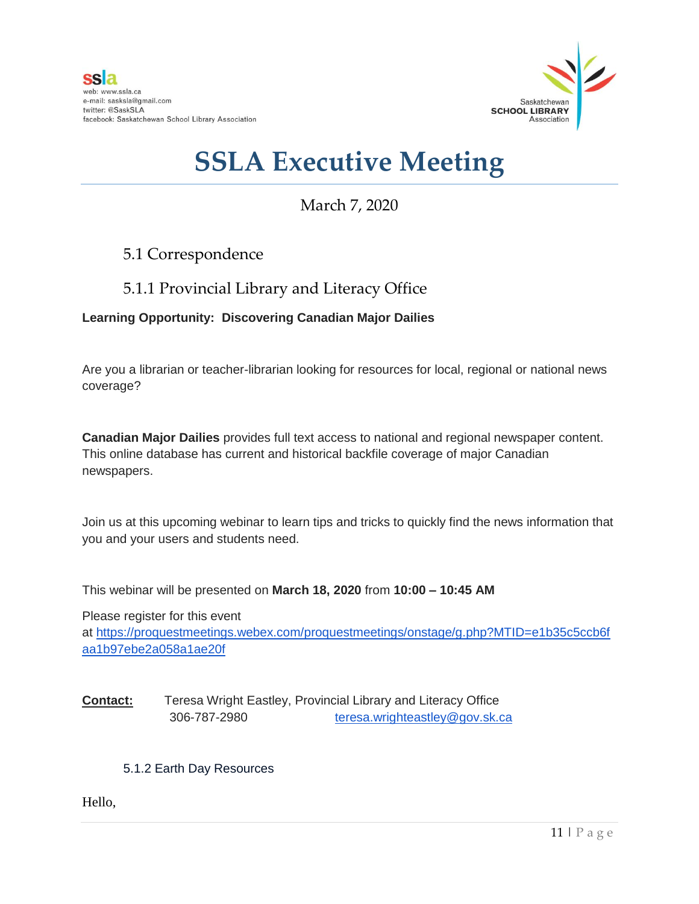

## March 7, 2020

### 5.1 Correspondence

### 5.1.1 Provincial Library and Literacy Office

#### **Learning Opportunity: Discovering Canadian Major Dailies**

Are you a librarian or teacher-librarian looking for resources for local, regional or national news coverage?

**Canadian Major Dailies** provides full text access to national and regional newspaper content. This online database has current and historical backfile coverage of major Canadian newspapers.

Join us at this upcoming webinar to learn tips and tricks to quickly find the news information that you and your users and students need.

This webinar will be presented on **March 18, 2020** from **10:00 – 10:45 AM**

Please register for this event at [https://proquestmeetings.webex.com/proquestmeetings/onstage/g.php?MTID=e1b35c5ccb6f](https://can01.safelinks.protection.outlook.com/?url=https%3A%2F%2Fproquestmeetings.webex.com%2Fproquestmeetings%2Fonstage%2Fg.php%3FMTID%3De1b35c5ccb6faa1b97ebe2a058a1ae20f&data=02%7C01%7Cteresa.wrighteastley%40gov.sk.ca%7Cdf379ef163934c0b1d2c08d7abe3744e%7Ccf4e8a24641b40d2905e9a328b644fab%7C0%7C0%7C637166865698911104&sdata=y8Ge5vIY%2Bhf3aQPmDTWhG6b1aeIm8Vk%2BZOJNP5pkUPs%3D&reserved=0) [aa1b97ebe2a058a1ae20f](https://can01.safelinks.protection.outlook.com/?url=https%3A%2F%2Fproquestmeetings.webex.com%2Fproquestmeetings%2Fonstage%2Fg.php%3FMTID%3De1b35c5ccb6faa1b97ebe2a058a1ae20f&data=02%7C01%7Cteresa.wrighteastley%40gov.sk.ca%7Cdf379ef163934c0b1d2c08d7abe3744e%7Ccf4e8a24641b40d2905e9a328b644fab%7C0%7C0%7C637166865698911104&sdata=y8Ge5vIY%2Bhf3aQPmDTWhG6b1aeIm8Vk%2BZOJNP5pkUPs%3D&reserved=0)

**Contact:** Teresa Wright Eastley, Provincial Library and Literacy Office 306-787-2980 [teresa.wrighteastley@gov.sk.ca](mailto:teresa.wrighteastley@gov.sk.ca)

#### 5.1.2 Earth Day Resources

Hello,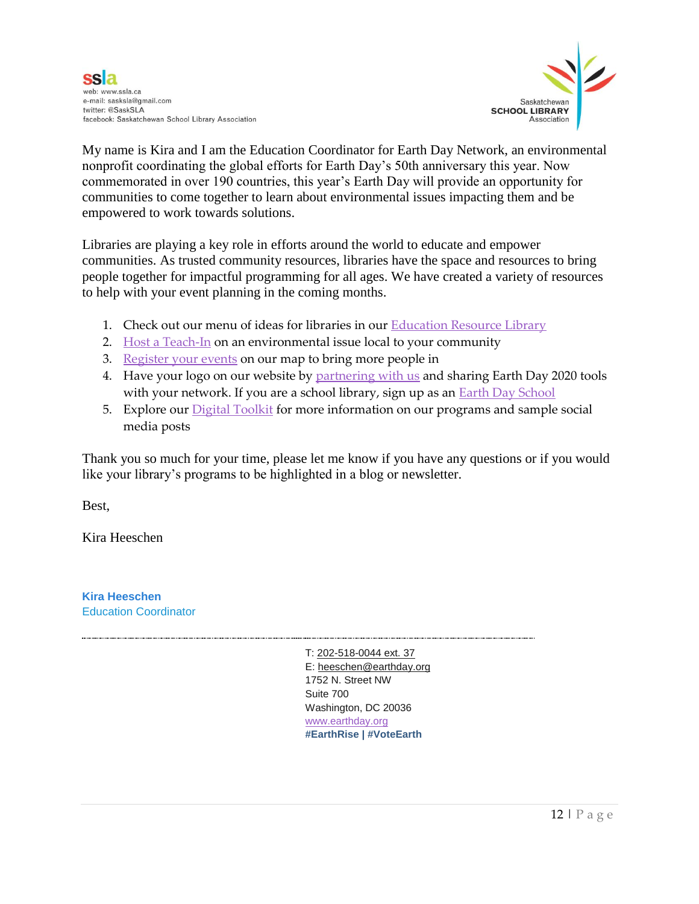

My name is Kira and I am the Education Coordinator for Earth Day Network, an environmental nonprofit coordinating the global efforts for Earth Day's 50th anniversary this year. Now commemorated in over 190 countries, this year's Earth Day will provide an opportunity for communities to come together to learn about environmental issues impacting them and be empowered to work towards solutions.

Libraries are playing a key role in efforts around the world to educate and empower communities. As trusted community resources, libraries have the space and resources to bring people together for impactful programming for all ages. We have created a variety of resources to help with your event planning in the coming months.

- 1. Check out our menu of ideas for libraries in our [Education Resource Library](https://www.earthday.org/education-resource-library/)
- 2. [Host a Teach-In](https://www.earthday.org/campaign/global-teach-in/) on an environmental issue local to your community
- 3. [Register your events](https://www.earthday.org/take-action-now/) on our map to bring more people in
- 4. Have your logo on our website b[y partnering with us](https://action.earthday.org/education_partnership) and sharing Earth Day 2020 tools with your network. If you are a school library, sign up as an **Earth Day School**
- 5. Explore our [Digital Toolkit](https://docs.google.com/document/d/1fScExM4qWlSHo9ZFNFgN3OfGXImNkfJIrr_CQkvc73A/edit?usp=sharing) for more information on our programs and sample social media posts

Thank you so much for your time, please let me know if you have any questions or if you would like your library's programs to be highlighted in a blog or newsletter.

Best,

Kira Heeschen

**Kira Heeschen** Education Coordinator

> . T: [202-518-0044 ext. 37](tel:202-518-0044%20ext.%2037) E[: heeschen@earthday.org](mailto:heeschen@earthday.org) 1752 N. Street NW Suite 700 Washington, DC 20036 [www.earthday.org](http://www.earthday.org/) **#EarthRise | #VoteEarth**